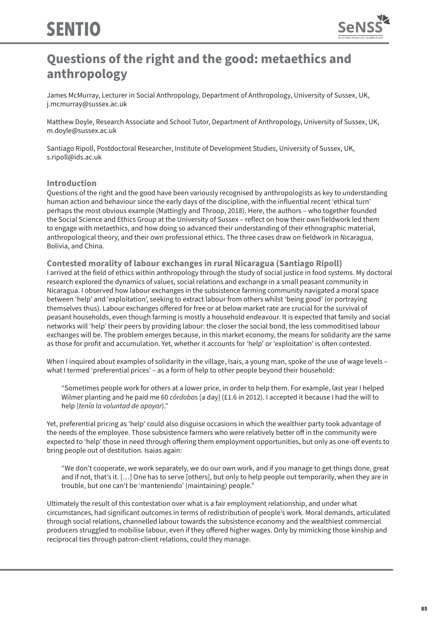

# **Questions of the right and the good: metaethics and anthropology**

James McMurray, Lecturer in Social Anthropology, Department of Anthropology, University of Sussex, UK, j.mcmurray@sussex.ac.uk

Matthew Doyle, Research Associate and School Tutor, Department of Anthropology, University of Sussex, UK, m.doyle@sussex.ac.uk

Santiago Ripoll, Postdoctoral Researcher, Institute of Development Studies, University of Sussex, UK, s.ripoll@ids.ac.uk

#### **Introduction**

Questions of the right and the good have been variously recognised by anthropologists as key to understanding human action and behaviour since the early days of the discipline, with the influential recent 'ethical turn' perhaps the most obvious example (Mattingly and Throop, 2018). Here, the authors – who together founded the Social Science and Ethics Group at the University of Sussex – reflect on how their own fieldwork led them to engage with metaethics, and how doing so advanced their understanding of their ethnographic material, anthropological theory, and their own professional ethics. The three cases draw on fieldwork in Nicaragua, Bolivia, and China.

**Contested morality of labour exchanges in rural Nicaragua (Santiago Ripoll)** I arrived at the field of ethics within anthropology through the study of social justice in food systems. My doctoral research explored the dynamics of values, social relations and exchange in a small peasant community in Nicaragua. I observed how labour exchanges in the subsistence farming community navigated a moral space between 'help' and 'exploitation', seeking to extract labour from others whilst 'being good' (or portraying themselves thus). Labour exchanges offered for free or at below market rate are crucial for the survival of peasant households, even though farming is mostly a household endeavour. It is expected that family and social networks will 'help' their peers by providing labour: the closer the social bond, the less commoditised labour exchanges will be. The problem emerges because, in this market economy, the means for solidarity are the same as those for profit and accumulation. Yet, whether it accounts for 'help' or 'exploitation' is often contested.

When I inquired about examples of solidarity in the village, Isais, a young man, spoke of the use of wage levels – what I termed 'preferential prices' – as a form of help to other people beyond their household:

"Sometimes people work for others at a lower price, in order to help them. For example, last year I helped Wilmer planting and he paid me 60 *córdobas* [a day] (£1.6 in 2012). I accepted it because I had the will to help (*tenía la voluntad de apoyar*)."

Yet, preferential pricing as 'help' could also disguise occasions in which the wealthier party took advantage of the needs of the employee. Those subsistence farmers who were relatively better off in the community were expected to 'help' those in need through offering them employment opportunities, but only as one-off events to bring people out of destitution. Isaias again:

"We don't cooperate, we work separately, we do our own work, and if you manage to get things done, great and if not, that's it. […] One has to serve [others], but only to help people out temporarily, when they are in trouble, but one can't be 'manteniendo' (maintaining) people."

Ultimately the result of this contestation over what is a fair employment relationship, and under what circumstances, had significant outcomes in terms of redistribution of people's work. Moral demands, articulated through social relations, channelled labour towards the subsistence economy and the wealthiest commercial producers struggled to mobilise labour, even if they offered higher wages. Only by mimicking those kinship and reciprocal ties through patron-client relations, could they manage.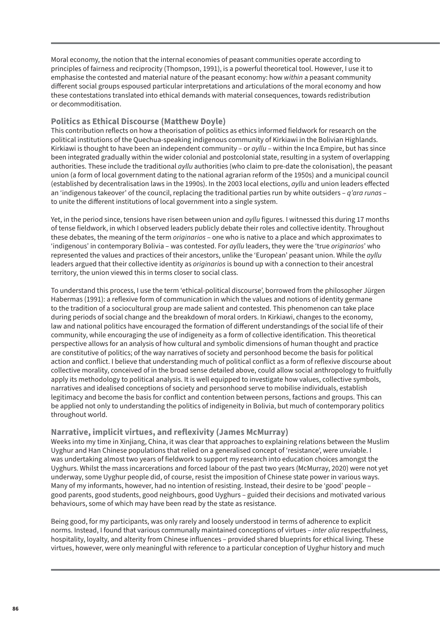Moral economy, the notion that the internal economies of peasant communities operate according to principles of fairness and reciprocity (Thompson, 1991), is a powerful theoretical tool. However, I use it to emphasise the contested and material nature of the peasant economy: how *within* a peasant community different social groups espoused particular interpretations and articulations of the moral economy and how these contestations translated into ethical demands with material consequences, towards redistribution or decommoditisation.

#### **Politics as Ethical Discourse (Matthew Doyle)**

This contribution reflects on how a theorisation of politics as ethics informed fieldwork for research on the political institutions of the Quechua-speaking indigenous community of Kirkiawi in the Bolivian Highlands. Kirkiawi is thought to have been an independent community – or *ayllu* – within the Inca Empire, but has since been integrated gradually within the wider colonial and postcolonial state, resulting in a system of overlapping authorities. These include the traditional *ayllu* authorities (who claim to pre-date the colonisation), the peasant union (a form of local government dating to the national agrarian reform of the 1950s) and a municipal council (established by decentralisation laws in the 1990s). In the 2003 local elections, *ayllu* and union leaders effected an 'indigenous takeover' of the council, replacing the traditional parties run by white outsiders – *q'ara runas* – to unite the different institutions of local government into a single system.

Yet, in the period since, tensions have risen between union and *ayllu* figures. I witnessed this during 17 months of tense fieldwork, in which I observed leaders publicly debate their roles and collective identity. Throughout these debates, the meaning of the term *originarios* – one who is native to a place and which approximates to 'indigenous' in contemporary Bolivia – was contested. For *ayllu* leaders, they were the 'true *originarios*' who represented the values and practices of their ancestors, unlike the 'European' peasant union. While the *ayllu* leaders argued that their collective identity as *originarios* is bound up with a connection to their ancestral territory, the union viewed this in terms closer to social class.

To understand this process, I use the term 'ethical-political discourse', borrowed from the philosopher Jürgen Habermas (1991): a reflexive form of communication in which the values and notions of identity germane to the tradition of a sociocultural group are made salient and contested. This phenomenon can take place during periods of social change and the breakdown of moral orders. In Kirkiawi, changes to the economy, law and national politics have encouraged the formation of different understandings of the social life of their community, while encouraging the use of indigeneity as a form of collective identification. This theoretical perspective allows for an analysis of how cultural and symbolic dimensions of human thought and practice are constitutive of politics; of the way narratives of society and personhood become the basis for political action and conflict. I believe that understanding much of political conflict as a form of reflexive discourse about collective morality, conceived of in the broad sense detailed above, could allow social anthropology to fruitfully apply its methodology to political analysis. It is well equipped to investigate how values, collective symbols, narratives and idealised conceptions of society and personhood serve to mobilise individuals, establish legitimacy and become the basis for conflict and contention between persons, factions and groups. This can be applied not only to understanding the politics of indigeneity in Bolivia, but much of contemporary politics throughout world.

## **Narrative, implicit virtues, and reflexivity (James McMurray)**

Weeks into my time in Xinjiang, China, it was clear that approaches to explaining relations between the Muslim Uyghur and Han Chinese populations that relied on a generalised concept of 'resistance', were unviable. I was undertaking almost two years of fieldwork to support my research into education choices amongst the Uyghurs. Whilst the mass incarcerations and forced labour of the past two years (McMurray, 2020) were not yet underway, some Uyghur people did, of course, resist the imposition of Chinese state power in various ways. Many of my informants, however, had no intention of resisting. Instead, their desire to be 'good' people – good parents, good students, good neighbours, good Uyghurs – guided their decisions and motivated various behaviours, some of which may have been read by the state as resistance.

Being good, for my participants, was only rarely and loosely understood in terms of adherence to explicit norms. Instead, I found that various communally maintained conceptions of virtues – *inter alia* respectfulness, hospitality, loyalty, and alterity from Chinese influences – provided shared blueprints for ethical living. These virtues, however, were only meaningful with reference to a particular conception of Uyghur history and much